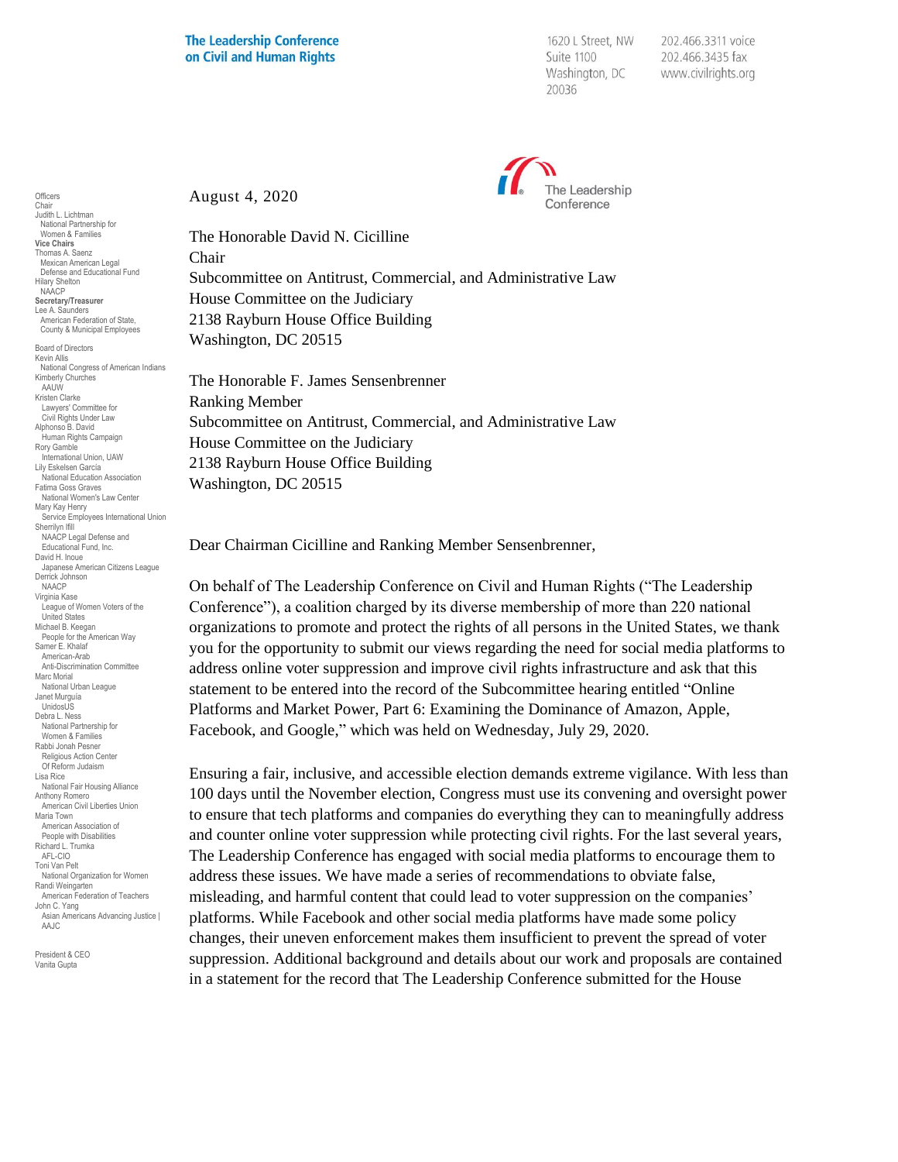1620 L Street, NW Suite 1100 Washington, DC 20036

202.466.3311 voice 202.466.3435 fax www.civilrights.org



August 4, 2020

The Honorable David N. Cicilline

Chair Subcommittee on Antitrust, Commercial, and Administrative Law House Committee on the Judiciary 2138 Rayburn House Office Building Washington, DC 20515

The Honorable F. James Sensenbrenner Ranking Member Subcommittee on Antitrust, Commercial, and Administrative Law House Committee on the Judiciary 2138 Rayburn House Office Building Washington, DC 20515

Dear Chairman Cicilline and Ranking Member Sensenbrenner,

On behalf of The Leadership Conference on Civil and Human Rights ("The Leadership Conference"), a coalition charged by its diverse membership of more than 220 national organizations to promote and protect the rights of all persons in the United States, we thank you for the opportunity to submit our views regarding the need for social media platforms to address online voter suppression and improve civil rights infrastructure and ask that this statement to be entered into the record of the Subcommittee hearing entitled "Online Platforms and Market Power, Part 6: Examining the Dominance of Amazon, Apple, Facebook, and Google," which was held on Wednesday, July 29, 2020.

Ensuring a fair, inclusive, and accessible election demands extreme vigilance. With less than 100 days until the November election, Congress must use its convening and oversight power to ensure that tech platforms and companies do everything they can to meaningfully address and counter online voter suppression while protecting civil rights. For the last several years, The Leadership Conference has engaged with social media platforms to encourage them to address these issues. We have made a series of recommendations to obviate false, misleading, and harmful content that could lead to voter suppression on the companies' platforms. While Facebook and other social media platforms have made some policy changes, their uneven enforcement makes them insufficient to prevent the spread of voter suppression. Additional background and details about our work and proposals are contained in a statement for the record that The Leadership Conference submitted for the House

Mexican American Legal Defense and Educational Fund Hilary Shelton NAACP **Secretary/Treasurer** Lee A. Saunders American Federation of State, County & Municipal Employees Board of Directors Kevin Allis National Congress of American Indians Kimberly Churches AAUW Kristen Clarke Lawyers' Committee for Civil Rights Under Law Alphonso B. David Human Rights Campaign Rory Gamble International Union, UAW Lily Eskelsen García National Education Association Fatima Goss Graves National Women's Law Center Mary Kay Henry Service Employees International Union Sherrilyn Ifill NAACP Legal Defense and Educational Fund, Inc. David H. Inoue Japanese American Citizens League Derrick Johnson NAACP Virginia Kase League of Women Voters of the United States Michael B. Keegan People for the American Way Samer E. Khalaf American-Arab Anti-Discrimination Committee Marc Morial National Urban League Janet Murguía UnidosUS Debra L. Ness National Partnership for Women & Families Rabbi Jonah Pesner Religious Action Center Of Reform Judaism Lisa Rice National Fair Housing Alliance Anthony Romero American Civil Liberties Union Maria Town American Association of People with Disabilities Richard L. Trumka AFL-CIO Toni Van Pelt National Organization for Women Randi Weingarten American Federation of Teachers John C. Yang Asian Americans Advancing Justice I AAJC

**Officers** Chair Judith L. Lichtman National Partnership for Women & Families **Vice Chairs** Thomas A. Saenz

President & CEO Vanita Gupta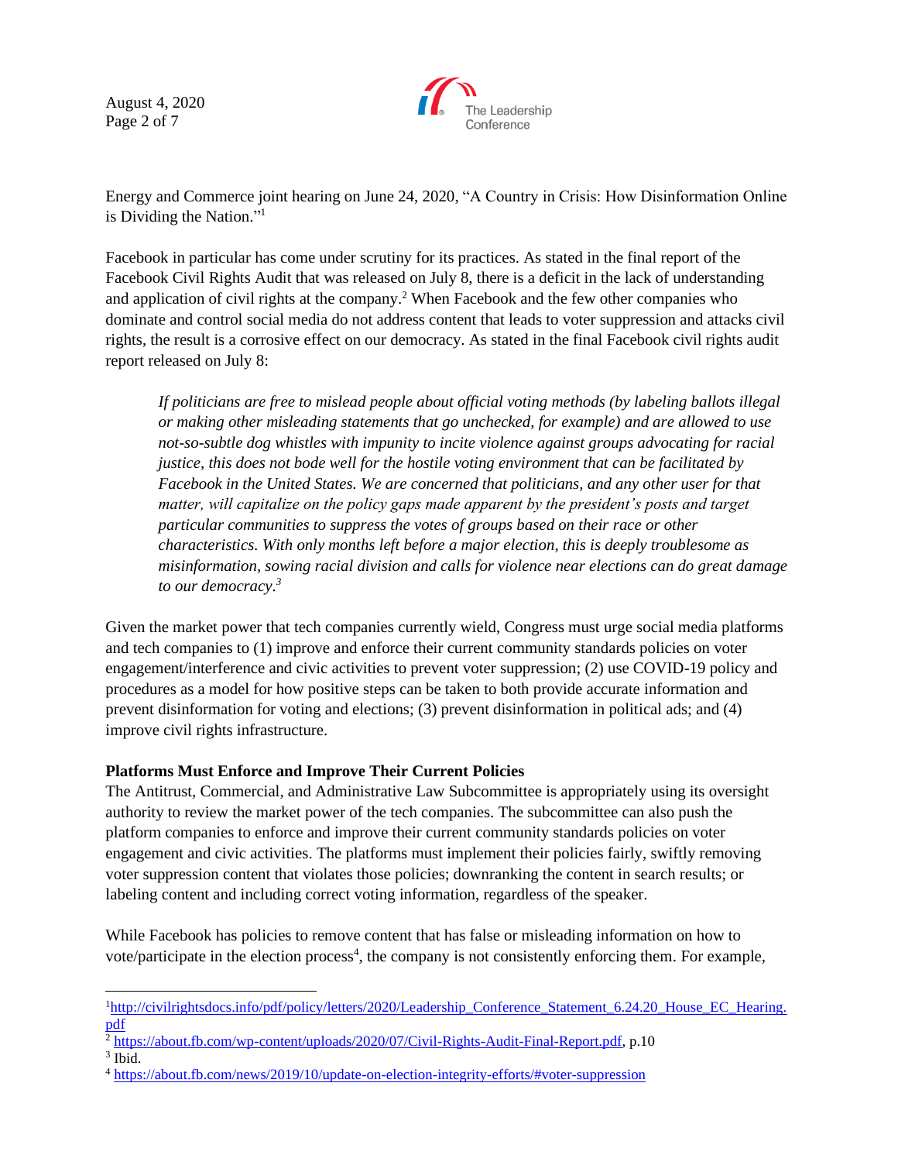August 4, 2020 Page 2 of 7



Energy and Commerce joint hearing on June 24, 2020, "A Country in Crisis: How Disinformation Online is Dividing the Nation." 1

Facebook in particular has come under scrutiny for its practices. As stated in the final report of the Facebook Civil Rights Audit that was released on July 8, there is a deficit in the lack of understanding and application of civil rights at the company.<sup>2</sup> When Facebook and the few other companies who dominate and control social media do not address content that leads to voter suppression and attacks civil rights, the result is a corrosive effect on our democracy. As stated in the final Facebook civil rights audit report released on July 8:

*If politicians are free to mislead people about official voting methods (by labeling ballots illegal or making other misleading statements that go unchecked, for example) and are allowed to use not-so-subtle dog whistles with impunity to incite violence against groups advocating for racial justice, this does not bode well for the hostile voting environment that can be facilitated by Facebook in the United States. We are concerned that politicians, and any other user for that matter, will capitalize on the policy gaps made apparent by the president's posts and target particular communities to suppress the votes of groups based on their race or other characteristics. With only months left before a major election, this is deeply troublesome as misinformation, sowing racial division and calls for violence near elections can do great damage to our democracy.<sup>3</sup>*

Given the market power that tech companies currently wield, Congress must urge social media platforms and tech companies to (1) improve and enforce their current community standards policies on voter engagement/interference and civic activities to prevent voter suppression; (2) use COVID-19 policy and procedures as a model for how positive steps can be taken to both provide accurate information and prevent disinformation for voting and elections; (3) prevent disinformation in political ads; and (4) improve civil rights infrastructure.

### **Platforms Must Enforce and Improve Their Current Policies**

The Antitrust, Commercial, and Administrative Law Subcommittee is appropriately using its oversight authority to review the market power of the tech companies. The subcommittee can also push the platform companies to enforce and improve their current community standards policies on voter engagement and civic activities. The platforms must implement their policies fairly, swiftly removing voter suppression content that violates those policies; downranking the content in search results; or labeling content and including correct voting information, regardless of the speaker.

While Facebook has policies to remove content that has false or misleading information on how to vote/participate in the election process<sup>4</sup>, the company is not consistently enforcing them. For example,

<sup>&</sup>lt;sup>1</sup>[http://civilrightsdocs.info/pdf/policy/letters/2020/Leadership\\_Conference\\_Statement\\_6.24.20\\_House\\_EC\\_Hearing.](http://civilrightsdocs.info/pdf/policy/letters/2020/Leadership_Conference_Statement_6.24.20_House_EC_Hearing.pdf) [pdf](http://civilrightsdocs.info/pdf/policy/letters/2020/Leadership_Conference_Statement_6.24.20_House_EC_Hearing.pdf)

 $^2$  [https://about.fb.com/wp-content/uploads/2020/07/Civil-Rights-Audit-Final-Report.pdf,](https://about.fb.com/wp-content/uploads/2020/07/Civil-Rights-Audit-Final-Report.pdf) p.10

<sup>3</sup> Ibid.

<sup>4</sup> <https://about.fb.com/news/2019/10/update-on-election-integrity-efforts/#voter-suppression>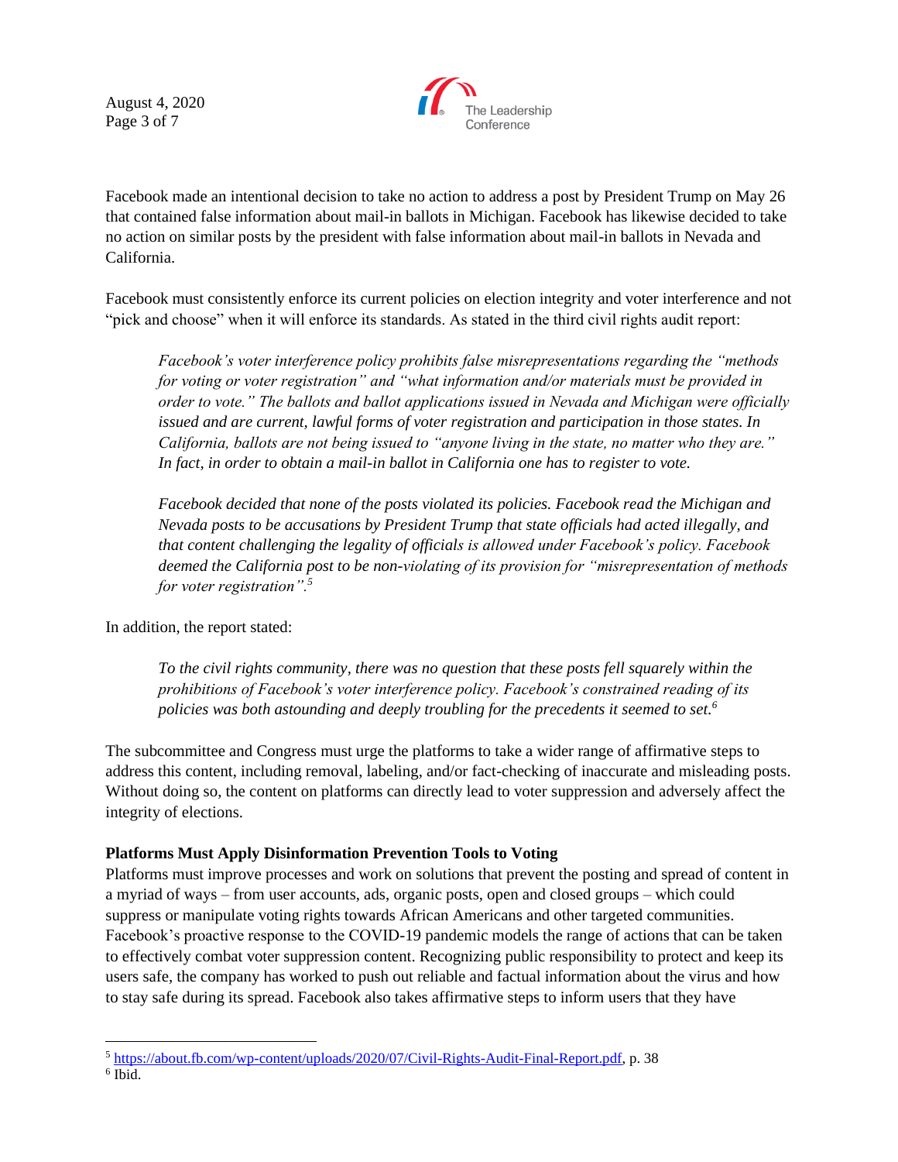August 4, 2020 Page 3 of 7



Facebook made an intentional decision to take no action to address a post by President Trump on May 26 that contained false information about mail-in ballots in Michigan. Facebook has likewise decided to take no action on similar posts by the president with false information about mail-in ballots in Nevada and California.

Facebook must consistently enforce its current policies on election integrity and voter interference and not "pick and choose" when it will enforce its standards. As stated in the third civil rights audit report:

*Facebook's voter interference policy prohibits false misrepresentations regarding the "methods for voting or voter registration" and "what information and/or materials must be provided in order to vote." The ballots and ballot applications issued in Nevada and Michigan were officially issued and are current, lawful forms of voter registration and participation in those states. In California, ballots are not being issued to "anyone living in the state, no matter who they are." In fact, in order to obtain a mail-in ballot in California one has to register to vote.*

*Facebook decided that none of the posts violated its policies. Facebook read the Michigan and Nevada posts to be accusations by President Trump that state officials had acted illegally, and that content challenging the legality of officials is allowed under Facebook's policy. Facebook deemed the California post to be non-violating of its provision for "misrepresentation of methods for voter registration".<sup>5</sup>*

In addition, the report stated:

*To the civil rights community, there was no question that these posts fell squarely within the prohibitions of Facebook's voter interference policy. Facebook's constrained reading of its policies was both astounding and deeply troubling for the precedents it seemed to set.<sup>6</sup>*

The subcommittee and Congress must urge the platforms to take a wider range of affirmative steps to address this content, including removal, labeling, and/or fact-checking of inaccurate and misleading posts. Without doing so, the content on platforms can directly lead to voter suppression and adversely affect the integrity of elections.

# **Platforms Must Apply Disinformation Prevention Tools to Voting**

Platforms must improve processes and work on solutions that prevent the posting and spread of content in a myriad of ways – from user accounts, ads, organic posts, open and closed groups – which could suppress or manipulate voting rights towards African Americans and other targeted communities. Facebook's proactive response to the COVID-19 pandemic models the range of actions that can be taken to effectively combat voter suppression content. Recognizing public responsibility to protect and keep its users safe, the company has worked to push out reliable and factual information about the virus and how to stay safe during its spread. Facebook also takes affirmative steps to inform users that they have

<sup>5</sup> [https://about.fb.com/wp-content/uploads/2020/07/Civil-Rights-Audit-Final-Report.pdf,](https://about.fb.com/wp-content/uploads/2020/07/Civil-Rights-Audit-Final-Report.pdf) p. 38

<sup>6</sup> Ibid.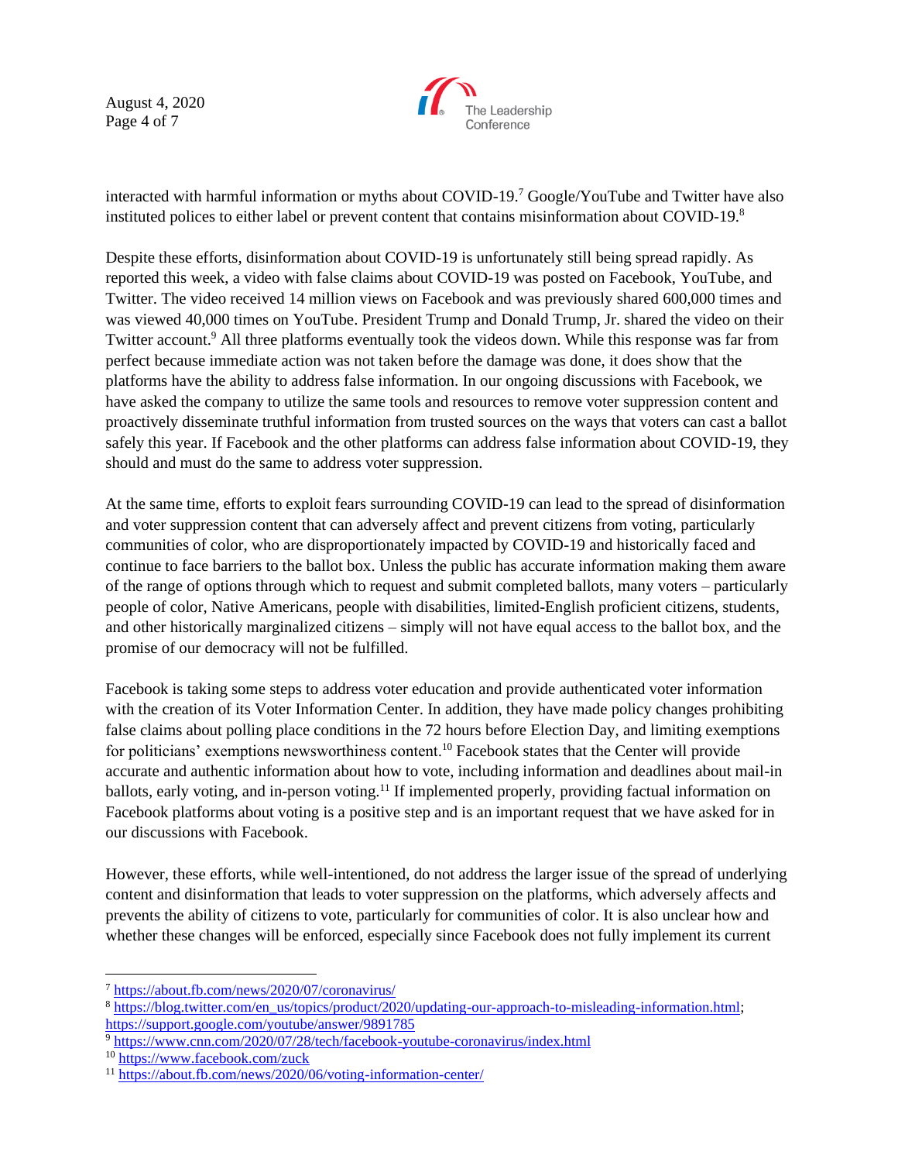August 4, 2020 Page 4 of 7



interacted with harmful information or myths about COVID-19.<sup>7</sup> Google/YouTube and Twitter have also instituted polices to either label or prevent content that contains misinformation about COVID-19.<sup>8</sup>

Despite these efforts, disinformation about COVID-19 is unfortunately still being spread rapidly. As reported this week, a video with false claims about COVID-19 was posted on Facebook, YouTube, and Twitter. The video received 14 million views on Facebook and was previously shared 600,000 times and was viewed 40,000 times on YouTube. President Trump and Donald Trump, Jr. shared the video on their Twitter account.<sup>9</sup> All three platforms eventually took the videos down. While this response was far from perfect because immediate action was not taken before the damage was done, it does show that the platforms have the ability to address false information. In our ongoing discussions with Facebook, we have asked the company to utilize the same tools and resources to remove voter suppression content and proactively disseminate truthful information from trusted sources on the ways that voters can cast a ballot safely this year. If Facebook and the other platforms can address false information about COVID-19, they should and must do the same to address voter suppression.

At the same time, efforts to exploit fears surrounding COVID-19 can lead to the spread of disinformation and voter suppression content that can adversely affect and prevent citizens from voting, particularly communities of color, who are disproportionately impacted by COVID-19 and historically faced and continue to face barriers to the ballot box. Unless the public has accurate information making them aware of the range of options through which to request and submit completed ballots, many voters – particularly people of color, Native Americans, people with disabilities, limited-English proficient citizens, students, and other historically marginalized citizens – simply will not have equal access to the ballot box, and the promise of our democracy will not be fulfilled.

Facebook is taking some steps to address voter education and provide authenticated voter information with the creation of its Voter Information Center. In addition, they have made policy changes prohibiting false claims about polling place conditions in the 72 hours before Election Day, and limiting exemptions for politicians' exemptions newsworthiness content.<sup>10</sup> Facebook states that the Center will provide accurate and authentic information about how to vote, including information and deadlines about mail-in ballots, early voting, and in-person voting.<sup>11</sup> If implemented properly, providing factual information on Facebook platforms about voting is a positive step and is an important request that we have asked for in our discussions with Facebook.

However, these efforts, while well-intentioned, do not address the larger issue of the spread of underlying content and disinformation that leads to voter suppression on the platforms, which adversely affects and prevents the ability of citizens to vote, particularly for communities of color. It is also unclear how and whether these changes will be enforced, especially since Facebook does not fully implement its current

<sup>7</sup> <https://about.fb.com/news/2020/07/coronavirus/>

<sup>&</sup>lt;sup>8</sup> [https://blog.twitter.com/en\\_us/topics/product/2020/updating-our-approach-to-misleading-information.html;](https://blog.twitter.com/en_us/topics/product/2020/updating-our-approach-to-misleading-information.html) <https://support.google.com/youtube/answer/9891785>

<sup>&</sup>lt;sup>9</sup> <https://www.cnn.com/2020/07/28/tech/facebook-youtube-coronavirus/index.html>

<sup>10</sup> <https://www.facebook.com/zuck>

<sup>11</sup> <https://about.fb.com/news/2020/06/voting-information-center/>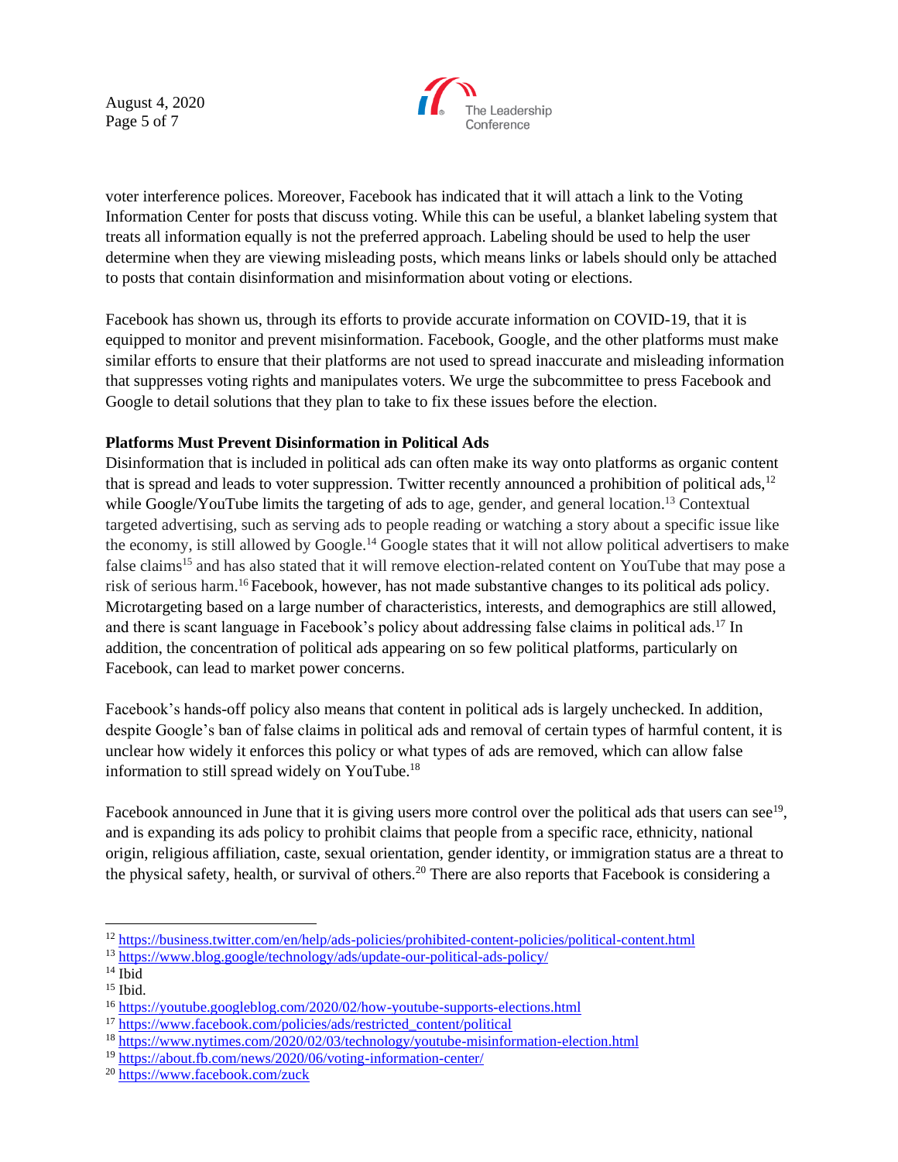August 4, 2020 Page 5 of 7



voter interference polices. Moreover, Facebook has indicated that it will attach a link to the Voting Information Center for posts that discuss voting. While this can be useful, a blanket labeling system that treats all information equally is not the preferred approach. Labeling should be used to help the user determine when they are viewing misleading posts, which means links or labels should only be attached to posts that contain disinformation and misinformation about voting or elections.

Facebook has shown us, through its efforts to provide accurate information on COVID-19, that it is equipped to monitor and prevent misinformation. Facebook, Google, and the other platforms must make similar efforts to ensure that their platforms are not used to spread inaccurate and misleading information that suppresses voting rights and manipulates voters. We urge the subcommittee to press Facebook and Google to detail solutions that they plan to take to fix these issues before the election.

## **Platforms Must Prevent Disinformation in Political Ads**

Disinformation that is included in political ads can often make its way onto platforms as organic content that is spread and leads to voter suppression. Twitter recently announced a prohibition of political ads, $12$ while Google/YouTube limits the targeting of ads to age, gender, and general location.<sup>13</sup> Contextual targeted advertising, such as serving ads to people reading or watching a story about a specific issue like the economy, is still allowed by Google.<sup>14</sup> Google states that it will not allow political advertisers to make false claims<sup>15</sup> and has also stated that it will remove election-related content on YouTube that may pose a risk of serious harm.<sup>16</sup> Facebook, however, has not made substantive changes to its political ads policy. Microtargeting based on a large number of characteristics, interests, and demographics are still allowed, and there is scant language in Facebook's policy about addressing false claims in political ads.<sup>17</sup> In addition, the concentration of political ads appearing on so few political platforms, particularly on Facebook, can lead to market power concerns.

Facebook's hands-off policy also means that content in political ads is largely unchecked. In addition, despite Google's ban of false claims in political ads and removal of certain types of harmful content, it is unclear how widely it enforces this policy or what types of ads are removed, which can allow false information to still spread widely on YouTube. 18

Facebook announced in June that it is giving users more control over the political ads that users can see<sup>19</sup>, and is expanding its ads policy to prohibit claims that people from a specific race, ethnicity, national origin, religious affiliation, caste, sexual orientation, gender identity, or immigration status are a threat to the physical safety, health, or survival of others.<sup>20</sup> There are also reports that Facebook is considering a

<sup>17</sup> [https://www.facebook.com/policies/ads/restricted\\_content/political](https://www.facebook.com/policies/ads/restricted_content/political)

<sup>12</sup> <https://business.twitter.com/en/help/ads-policies/prohibited-content-policies/political-content.html>

<sup>13</sup> <https://www.blog.google/technology/ads/update-our-political-ads-policy/>

 $14$  Ibid

<sup>15</sup> Ibid.

<sup>16</sup> <https://youtube.googleblog.com/2020/02/how-youtube-supports-elections.html>

<sup>18</sup> <https://www.nytimes.com/2020/02/03/technology/youtube-misinformation-election.html>

<sup>19</sup> <https://about.fb.com/news/2020/06/voting-information-center/>

<sup>20</sup> <https://www.facebook.com/zuck>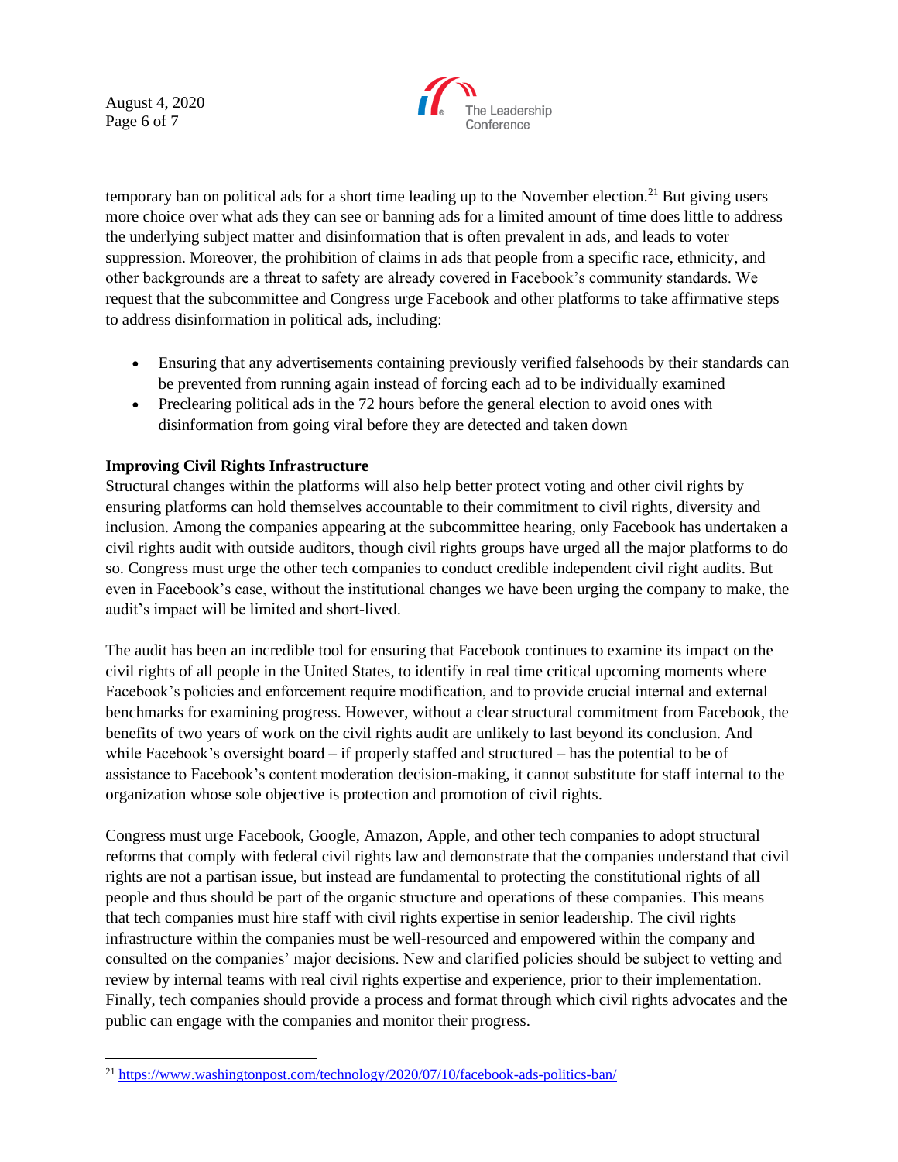August 4, 2020 Page 6 of 7



temporary ban on political ads for a short time leading up to the November election.<sup>21</sup> But giving users more choice over what ads they can see or banning ads for a limited amount of time does little to address the underlying subject matter and disinformation that is often prevalent in ads, and leads to voter suppression. Moreover, the prohibition of claims in ads that people from a specific race, ethnicity, and other backgrounds are a threat to safety are already covered in Facebook's community standards. We request that the subcommittee and Congress urge Facebook and other platforms to take affirmative steps to address disinformation in political ads, including:

- Ensuring that any advertisements containing previously verified falsehoods by their standards can be prevented from running again instead of forcing each ad to be individually examined
- Preclearing political ads in the 72 hours before the general election to avoid ones with disinformation from going viral before they are detected and taken down

# **Improving Civil Rights Infrastructure**

Structural changes within the platforms will also help better protect voting and other civil rights by ensuring platforms can hold themselves accountable to their commitment to civil rights, diversity and inclusion. Among the companies appearing at the subcommittee hearing, only Facebook has undertaken a civil rights audit with outside auditors, though civil rights groups have urged all the major platforms to do so. Congress must urge the other tech companies to conduct credible independent civil right audits. But even in Facebook's case, without the institutional changes we have been urging the company to make, the audit's impact will be limited and short-lived.

The audit has been an incredible tool for ensuring that Facebook continues to examine its impact on the civil rights of all people in the United States, to identify in real time critical upcoming moments where Facebook's policies and enforcement require modification, and to provide crucial internal and external benchmarks for examining progress. However, without a clear structural commitment from Facebook, the benefits of two years of work on the civil rights audit are unlikely to last beyond its conclusion. And while Facebook's oversight board – if properly staffed and structured – has the potential to be of assistance to Facebook's content moderation decision-making, it cannot substitute for staff internal to the organization whose sole objective is protection and promotion of civil rights.

Congress must urge Facebook, Google, Amazon, Apple, and other tech companies to adopt structural reforms that comply with federal civil rights law and demonstrate that the companies understand that civil rights are not a partisan issue, but instead are fundamental to protecting the constitutional rights of all people and thus should be part of the organic structure and operations of these companies. This means that tech companies must hire staff with civil rights expertise in senior leadership. The civil rights infrastructure within the companies must be well-resourced and empowered within the company and consulted on the companies' major decisions. New and clarified policies should be subject to vetting and review by internal teams with real civil rights expertise and experience, prior to their implementation. Finally, tech companies should provide a process and format through which civil rights advocates and the public can engage with the companies and monitor their progress.

<sup>21</sup> <https://www.washingtonpost.com/technology/2020/07/10/facebook-ads-politics-ban/>